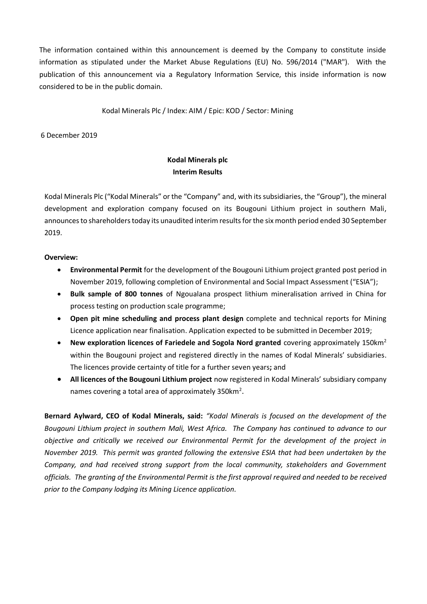The information contained within this announcement is deemed by the Company to constitute inside information as stipulated under the Market Abuse Regulations (EU) No. 596/2014 ("MAR"). With the publication of this announcement via a Regulatory Information Service, this inside information is now considered to be in the public domain.

Kodal Minerals Plc / Index: AIM / Epic: KOD / Sector: Mining

6 December 2019

# **Kodal Minerals plc Interim Results**

Kodal Minerals Plc ("Kodal Minerals" or the "Company" and, with its subsidiaries, the "Group"), the mineral development and exploration company focused on its Bougouni Lithium project in southern Mali, announces to shareholders today its unaudited interim results for the six month period ended 30 September 2019.

### **Overview:**

- **Environmental Permit** for the development of the Bougouni Lithium project granted post period in November 2019, following completion of Environmental and Social Impact Assessment ("ESIA");
- **Bulk sample of 800 tonnes** of Ngoualana prospect lithium mineralisation arrived in China for process testing on production scale programme;
- **Open pit mine scheduling and process plant design** complete and technical reports for Mining Licence application near finalisation. Application expected to be submitted in December 2019;
- **New exploration licences of Fariedele and Sogola Nord granted** covering approximately 150km<sup>2</sup> within the Bougouni project and registered directly in the names of Kodal Minerals' subsidiaries. The licences provide certainty of title for a further seven years**;** and
- **All licences of the Bougouni Lithium project** now registered in Kodal Minerals' subsidiary company names covering a total area of approximately 350km<sup>2</sup>.

**Bernard Aylward, CEO of Kodal Minerals, said:** *"Kodal Minerals is focused on the development of the Bougouni Lithium project in southern Mali, West Africa. The Company has continued to advance to our objective and critically we received our Environmental Permit for the development of the project in November 2019. This permit was granted following the extensive ESIA that had been undertaken by the Company, and had received strong support from the local community, stakeholders and Government officials. The granting of the Environmental Permit is the first approval required and needed to be received prior to the Company lodging its Mining Licence application.*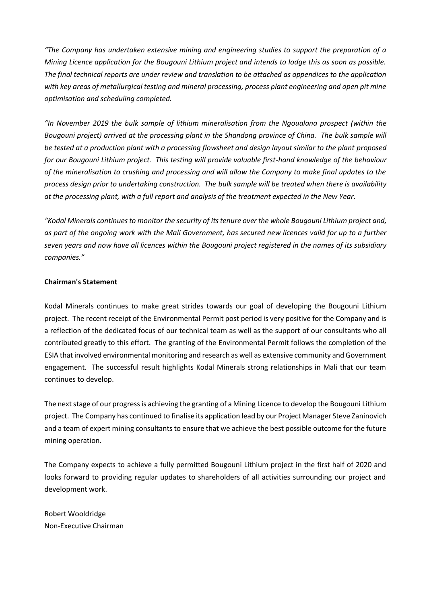*"The Company has undertaken extensive mining and engineering studies to support the preparation of a Mining Licence application for the Bougouni Lithium project and intends to lodge this as soon as possible. The final technical reports are under review and translation to be attached as appendices to the application with key areas of metallurgical testing and mineral processing, process plant engineering and open pit mine optimisation and scheduling completed.*

*"In November 2019 the bulk sample of lithium mineralisation from the Ngoualana prospect (within the Bougouni project) arrived at the processing plant in the Shandong province of China. The bulk sample will be tested at a production plant with a processing flowsheet and design layout similar to the plant proposed for our Bougouni Lithium project. This testing will provide valuable first-hand knowledge of the behaviour of the mineralisation to crushing and processing and will allow the Company to make final updates to the process design prior to undertaking construction. The bulk sample will be treated when there is availability at the processing plant, with a full report and analysis of the treatment expected in the New Year.*

*"Kodal Minerals continues to monitor the security of itstenure over the whole Bougouni Lithium project and, as part of the ongoing work with the Mali Government, has secured new licences valid for up to a further seven years and now have all licences within the Bougouni project registered in the names of its subsidiary companies."*

### **Chairman's Statement**

Kodal Minerals continues to make great strides towards our goal of developing the Bougouni Lithium project. The recent receipt of the Environmental Permit post period is very positive for the Company and is a reflection of the dedicated focus of our technical team as well as the support of our consultants who all contributed greatly to this effort. The granting of the Environmental Permit follows the completion of the ESIA that involved environmental monitoring and research as well as extensive community and Government engagement. The successful result highlights Kodal Minerals strong relationships in Mali that our team continues to develop.

The next stage of our progress is achieving the granting of a Mining Licence to develop the Bougouni Lithium project. The Company has continued to finalise its application lead by our Project Manager Steve Zaninovich and a team of expert mining consultants to ensure that we achieve the best possible outcome for the future mining operation.

The Company expects to achieve a fully permitted Bougouni Lithium project in the first half of 2020 and looks forward to providing regular updates to shareholders of all activities surrounding our project and development work.

Robert Wooldridge Non-Executive Chairman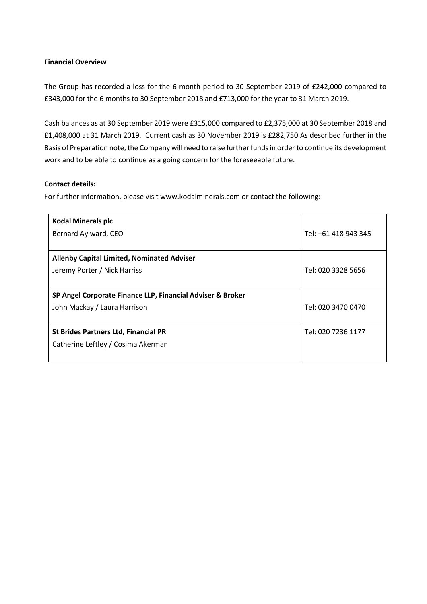#### **Financial Overview**

The Group has recorded a loss for the 6-month period to 30 September 2019 of £242,000 compared to £343,000 for the 6 months to 30 September 2018 and £713,000 for the year to 31 March 2019.

Cash balances as at 30 September 2019 were £315,000 compared to £2,375,000 at 30 September 2018 and £1,408,000 at 31 March 2019. Current cash as 30 November 2019 is £282,750 As described further in the Basis of Preparation note, the Company will need to raise further funds in order to continue its development work and to be able to continue as a going concern for the foreseeable future.

### **Contact details:**

For further information, please visit www.kodalminerals.com or contact the following:

| <b>Kodal Minerals plc</b><br>Bernard Aylward, CEO                                          | Tel: +61 418 943 345 |
|--------------------------------------------------------------------------------------------|----------------------|
| <b>Allenby Capital Limited, Nominated Adviser</b><br>Jeremy Porter / Nick Harriss          | Tel: 020 3328 5656   |
| SP Angel Corporate Finance LLP, Financial Adviser & Broker<br>John Mackay / Laura Harrison | Tel: 020 3470 0470   |
| <b>St Brides Partners Ltd, Financial PR</b><br>Catherine Leftley / Cosima Akerman          | Tel: 020 7236 1177   |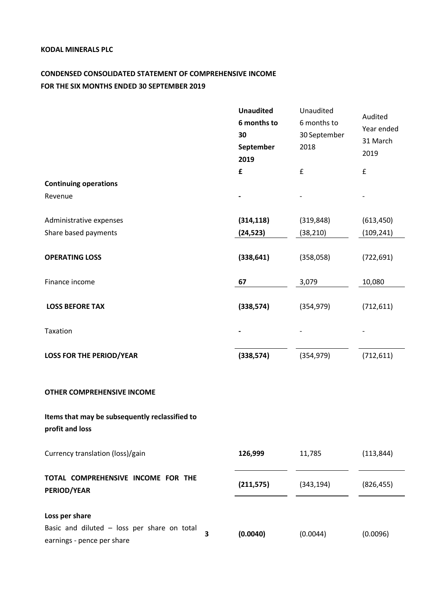# **CONDENSED CONSOLIDATED STATEMENT OF COMPREHENSIVE INCOME FOR THE SIX MONTHS ENDED 30 SEPTEMBER 2019**

|                                                                                             |   | <b>Unaudited</b><br>6 months to<br>30<br>September<br>2019 | Unaudited<br>6 months to<br>30 September<br>2018 | Audited<br>Year ended<br>31 March<br>2019 |
|---------------------------------------------------------------------------------------------|---|------------------------------------------------------------|--------------------------------------------------|-------------------------------------------|
|                                                                                             |   | £                                                          | £                                                | $\pmb{\mathsf{f}}$                        |
| <b>Continuing operations</b>                                                                |   |                                                            |                                                  |                                           |
| Revenue                                                                                     |   |                                                            |                                                  |                                           |
|                                                                                             |   |                                                            |                                                  |                                           |
| Administrative expenses                                                                     |   | (314, 118)                                                 | (319, 848)                                       | (613, 450)                                |
| Share based payments                                                                        |   | (24, 523)                                                  | (38, 210)                                        | (109, 241)                                |
| <b>OPERATING LOSS</b>                                                                       |   | (338, 641)                                                 | (358,058)                                        | (722, 691)                                |
| Finance income                                                                              |   | 67                                                         | 3,079                                            | 10,080                                    |
| <b>LOSS BEFORE TAX</b>                                                                      |   | (338, 574)                                                 | (354, 979)                                       | (712, 611)                                |
| Taxation                                                                                    |   |                                                            |                                                  |                                           |
| <b>LOSS FOR THE PERIOD/YEAR</b>                                                             |   | (338, 574)                                                 | (354, 979)                                       | (712, 611)                                |
| <b>OTHER COMPREHENSIVE INCOME</b>                                                           |   |                                                            |                                                  |                                           |
| Items that may be subsequently reclassified to<br>profit and loss                           |   |                                                            |                                                  |                                           |
| Currency translation (loss)/gain                                                            |   | 126,999                                                    | 11,785                                           | (113, 844)                                |
| TOTAL COMPREHENSIVE INCOME FOR THE<br><b>PERIOD/YEAR</b>                                    |   | (211, 575)                                                 | (343, 194)                                       | (826, 455)                                |
| Loss per share<br>Basic and diluted - loss per share on total<br>earnings - pence per share | 3 | (0.0040)                                                   | (0.0044)                                         | (0.0096)                                  |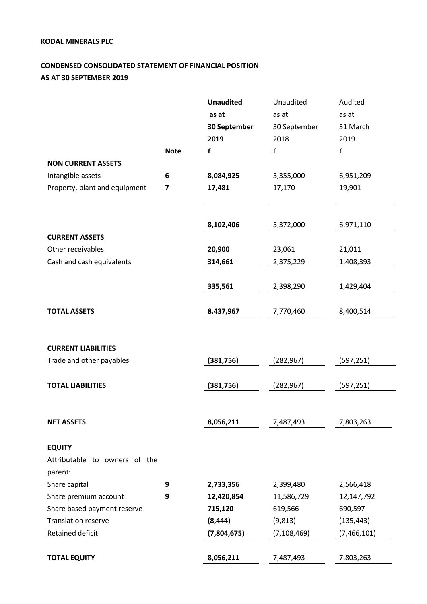# **CONDENSED CONSOLIDATED STATEMENT OF FINANCIAL POSITION AS AT 30 SEPTEMBER 2019**

|                               |             | <b>Unaudited</b> | Unaudited     | Audited       |
|-------------------------------|-------------|------------------|---------------|---------------|
|                               |             | as at            | as at         | as at         |
|                               |             | 30 September     | 30 September  | 31 March      |
|                               |             | 2019             | 2018          | 2019          |
|                               | <b>Note</b> | £                | £             | £             |
| <b>NON CURRENT ASSETS</b>     |             |                  |               |               |
| Intangible assets             | 6           | 8,084,925        | 5,355,000     | 6,951,209     |
| Property, plant and equipment | 7           | 17,481           | 17,170        | 19,901        |
|                               |             |                  |               |               |
|                               |             |                  |               |               |
|                               |             | 8,102,406        | 5,372,000     | 6,971,110     |
| <b>CURRENT ASSETS</b>         |             |                  |               |               |
| Other receivables             |             | 20,900           | 23,061        | 21,011        |
| Cash and cash equivalents     |             | 314,661          | 2,375,229     | 1,408,393     |
|                               |             |                  |               |               |
|                               |             | 335,561          | 2,398,290     | 1,429,404     |
| <b>TOTAL ASSETS</b>           |             | 8,437,967        | 7,770,460     | 8,400,514     |
|                               |             |                  |               |               |
|                               |             |                  |               |               |
| <b>CURRENT LIABILITIES</b>    |             |                  |               |               |
| Trade and other payables      |             | (381,756)        | (282, 967)    | (597, 251)    |
|                               |             |                  |               |               |
| <b>TOTAL LIABILITIES</b>      |             | (381,756)        | (282, 967)    | (597, 251)    |
|                               |             |                  |               |               |
|                               |             |                  |               |               |
| <b>NET ASSETS</b>             |             | 8,056,211        | 7,487,493     | 7,803,263     |
|                               |             |                  |               |               |
| <b>EQUITY</b>                 |             |                  |               |               |
| Attributable to owners of the |             |                  |               |               |
| parent:                       |             |                  |               |               |
| Share capital                 | 9           | 2,733,356        | 2,399,480     | 2,566,418     |
| Share premium account         | 9           | 12,420,854       | 11,586,729    | 12,147,792    |
| Share based payment reserve   |             | 715,120          | 619,566       | 690,597       |
| <b>Translation reserve</b>    |             | (8, 444)         | (9, 813)      | (135, 443)    |
| Retained deficit              |             | (7,804,675)      | (7, 108, 469) | (7, 466, 101) |
|                               |             |                  |               |               |
| <b>TOTAL EQUITY</b>           |             | 8,056,211        | 7,487,493     | 7,803,263     |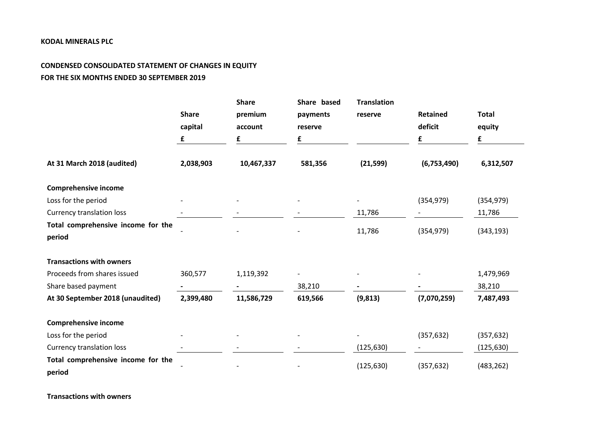# **CONDENSED CONSOLIDATED STATEMENT OF CHANGES IN EQUITY FOR THE SIX MONTHS ENDED 30 SEPTEMBER 2019**

|                                              | <b>Share</b><br>capital<br>£ | <b>Share</b><br>premium<br>account<br>£ | Share based<br>payments<br>reserve<br>£ | <b>Translation</b><br>reserve | <b>Retained</b><br>deficit<br>£ | <b>Total</b><br>equity<br>£ |
|----------------------------------------------|------------------------------|-----------------------------------------|-----------------------------------------|-------------------------------|---------------------------------|-----------------------------|
| At 31 March 2018 (audited)                   | 2,038,903                    | 10,467,337                              | 581,356                                 | (21, 599)                     | (6,753,490)                     | 6,312,507                   |
| <b>Comprehensive income</b>                  |                              |                                         |                                         |                               |                                 |                             |
| Loss for the period                          |                              |                                         |                                         |                               | (354, 979)                      | (354, 979)                  |
| <b>Currency translation loss</b>             |                              |                                         |                                         | 11,786                        |                                 | 11,786                      |
| Total comprehensive income for the<br>period |                              |                                         |                                         | 11,786                        | (354, 979)                      | (343, 193)                  |
| <b>Transactions with owners</b>              |                              |                                         |                                         |                               |                                 |                             |
| Proceeds from shares issued                  | 360,577                      | 1,119,392                               |                                         |                               |                                 | 1,479,969                   |
| Share based payment                          |                              |                                         | 38,210                                  |                               |                                 | 38,210                      |
| At 30 September 2018 (unaudited)             | 2,399,480                    | 11,586,729                              | 619,566                                 | (9, 813)                      | (7,070,259)                     | 7,487,493                   |
| <b>Comprehensive income</b>                  |                              |                                         |                                         |                               |                                 |                             |
| Loss for the period                          |                              |                                         |                                         |                               | (357, 632)                      | (357, 632)                  |
| <b>Currency translation loss</b>             |                              |                                         |                                         | (125, 630)                    |                                 | (125, 630)                  |
| Total comprehensive income for the<br>period |                              |                                         |                                         | (125, 630)                    | (357, 632)                      | (483, 262)                  |

**Transactions with owners**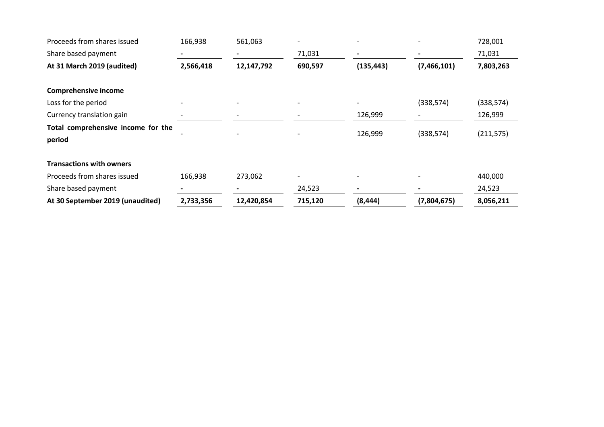| Proceeds from shares issued        | 166,938   | 561,063    |         |                          |             | 728,001    |
|------------------------------------|-----------|------------|---------|--------------------------|-------------|------------|
| Share based payment                |           |            | 71,031  | $\overline{\phantom{a}}$ |             | 71,031     |
| At 31 March 2019 (audited)         | 2,566,418 | 12,147,792 | 690,597 | (135, 443)               | (7,466,101) | 7,803,263  |
| <b>Comprehensive income</b>        |           |            |         |                          |             |            |
| Loss for the period                |           |            |         | $\overline{\phantom{a}}$ | (338, 574)  | (338, 574) |
| Currency translation gain          |           |            |         | 126,999                  |             | 126,999    |
| Total comprehensive income for the |           |            |         | 126,999                  |             |            |
| period                             |           |            |         |                          | (338, 574)  | (211, 575) |
| <b>Transactions with owners</b>    |           |            |         |                          |             |            |
| Proceeds from shares issued        | 166,938   | 273,062    |         | $\overline{\phantom{a}}$ |             | 440,000    |
| Share based payment                |           |            | 24,523  |                          |             | 24,523     |
| At 30 September 2019 (unaudited)   | 2,733,356 | 12,420,854 | 715,120 | (8, 444)                 | (7,804,675) | 8,056,211  |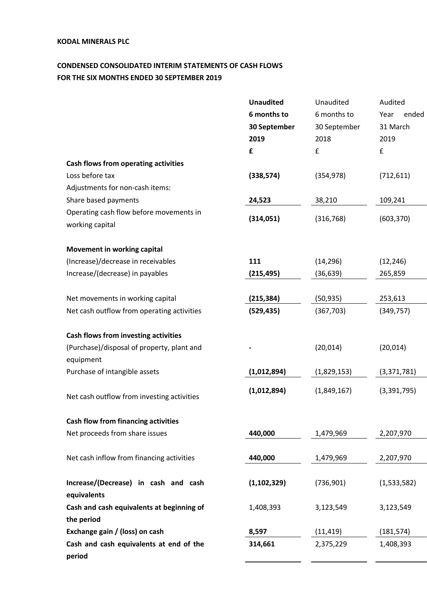# **CONDENSED CONSOLIDATED INTERIM STATEMENTS OF CASH FLOWS FOR THE SIX MONTHS ENDED 30 SEPTEMBER 2019**

|                                                            | <b>Unaudited</b> | Unaudited    | Audited       |
|------------------------------------------------------------|------------------|--------------|---------------|
|                                                            | 6 months to      | 6 months to  | Year<br>ended |
|                                                            | 30 September     | 30 September | 31 March      |
|                                                            | 2019             | 2018         | 2019          |
|                                                            | £                | £            | £             |
| Cash flows from operating activities                       |                  |              |               |
| Loss before tax                                            | (338, 574)       | (354, 978)   | (712, 611)    |
| Adjustments for non-cash items:                            |                  |              |               |
| Share based payments                                       | 24,523           | 38,210       | 109,241       |
| Operating cash flow before movements in<br>working capital | (314,051)        | (316, 768)   | (603, 370)    |
| <b>Movement in working capital</b>                         |                  |              |               |
| (Increase)/decrease in receivables                         | 111              | (14, 296)    | (12, 246)     |
| Increase/(decrease) in payables                            | (215, 495)       | (36, 639)    | 265,859       |
|                                                            |                  |              |               |
| Net movements in working capital                           | (215, 384)       | (50, 935)    | 253,613       |
| Net cash outflow from operating activities                 | (529, 435)       | (367, 703)   | (349, 757)    |
| Cash flows from investing activities                       |                  |              |               |
| (Purchase)/disposal of property, plant and                 |                  | (20, 014)    | (20, 014)     |
| equipment                                                  |                  |              |               |
| Purchase of intangible assets                              | (1,012,894)      | (1,829,153)  | (3,371,781)   |
| Net cash outflow from investing activities                 | (1,012,894)      | (1,849,167)  | (3, 391, 795) |
| <b>Cash flow from financing activities</b>                 |                  |              |               |
| Net proceeds from share issues                             | 440,000          | 1,479,969    | 2,207,970     |
| Net cash inflow from financing activities                  | 440,000          | 1,479,969    | 2,207,970     |
| Increase/(Decrease) in cash and cash<br>equivalents        | (1, 102, 329)    | (736, 901)   | (1,533,582)   |
| Cash and cash equivalents at beginning of<br>the period    | 1,408,393        | 3,123,549    | 3,123,549     |
| Exchange gain / (loss) on cash                             | 8,597            | (11, 419)    | (181, 574)    |
| Cash and cash equivalents at end of the<br>period          | 314,661          | 2,375,229    | 1,408,393     |
|                                                            |                  |              |               |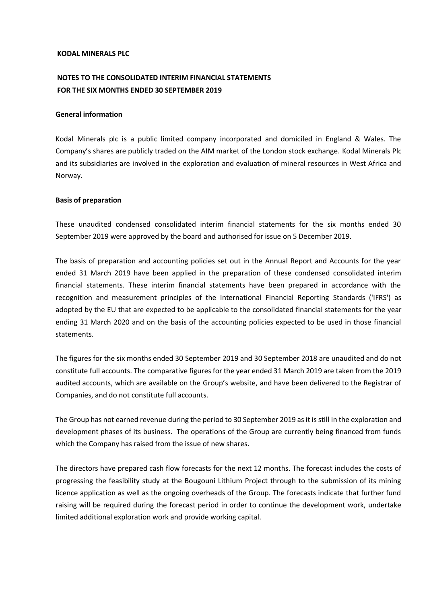# **NOTES TO THE CONSOLIDATED INTERIM FINANCIAL STATEMENTS FOR THE SIX MONTHS ENDED 30 SEPTEMBER 2019**

#### **General information**

Kodal Minerals plc is a public limited company incorporated and domiciled in England & Wales. The Company's shares are publicly traded on the AIM market of the London stock exchange. Kodal Minerals Plc and its subsidiaries are involved in the exploration and evaluation of mineral resources in West Africa and Norway.

#### **Basis of preparation**

These unaudited condensed consolidated interim financial statements for the six months ended 30 September 2019 were approved by the board and authorised for issue on 5 December 2019.

The basis of preparation and accounting policies set out in the Annual Report and Accounts for the year ended 31 March 2019 have been applied in the preparation of these condensed consolidated interim financial statements. These interim financial statements have been prepared in accordance with the recognition and measurement principles of the International Financial Reporting Standards ('IFRS') as adopted by the EU that are expected to be applicable to the consolidated financial statements for the year ending 31 March 2020 and on the basis of the accounting policies expected to be used in those financial statements.

The figures for the six months ended 30 September 2019 and 30 September 2018 are unaudited and do not constitute full accounts. The comparative figures for the year ended 31 March 2019 are taken from the 2019 audited accounts, which are available on the Group's website, and have been delivered to the Registrar of Companies, and do not constitute full accounts.

The Group has not earned revenue during the period to 30 September 2019 as it is still in the exploration and development phases of its business. The operations of the Group are currently being financed from funds which the Company has raised from the issue of new shares.

The directors have prepared cash flow forecasts for the next 12 months. The forecast includes the costs of progressing the feasibility study at the Bougouni Lithium Project through to the submission of its mining licence application as well as the ongoing overheads of the Group. The forecasts indicate that further fund raising will be required during the forecast period in order to continue the development work, undertake limited additional exploration work and provide working capital.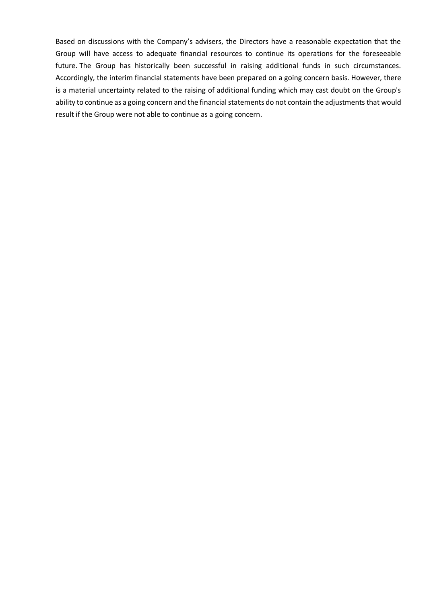Based on discussions with the Company's advisers, the Directors have a reasonable expectation that the Group will have access to adequate financial resources to continue its operations for the foreseeable future. The Group has historically been successful in raising additional funds in such circumstances. Accordingly, the interim financial statements have been prepared on a going concern basis. However, there is a material uncertainty related to the raising of additional funding which may cast doubt on the Group's ability to continue as a going concern and the financial statements do not contain the adjustments that would result if the Group were not able to continue as a going concern.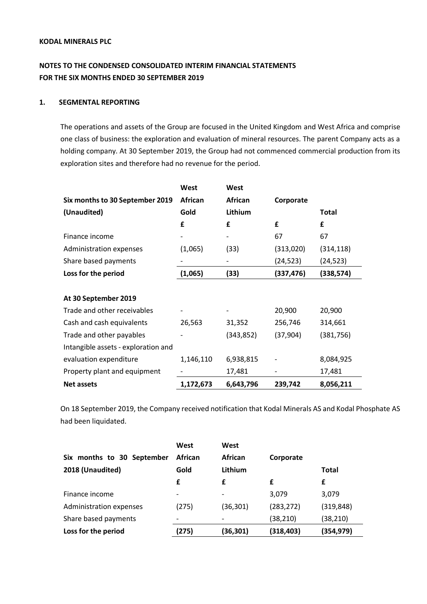# **NOTES TO THE CONDENSED CONSOLIDATED INTERIM FINANCIAL STATEMENTS FOR THE SIX MONTHS ENDED 30 SEPTEMBER 2019**

#### **1. SEGMENTAL REPORTING**

The operations and assets of the Group are focused in the United Kingdom and West Africa and comprise one class of business: the exploration and evaluation of mineral resources. The parent Company acts as a holding company. At 30 September 2019, the Group had not commenced commercial production from its exploration sites and therefore had no revenue for the period.

|                                     | West      | West                     |            |            |
|-------------------------------------|-----------|--------------------------|------------|------------|
| Six months to 30 September 2019     | African   | African                  | Corporate  |            |
| (Unaudited)                         | Gold      | Lithium                  |            | Total      |
|                                     | £         | £                        | £          | £          |
| Finance income                      |           |                          | 67         | 67         |
| Administration expenses             | (1,065)   | (33)                     | (313,020)  | (314, 118) |
| Share based payments                |           |                          | (24, 523)  | (24,523)   |
| Loss for the period                 | (1,065)   | (33)                     | (337, 476) | (338, 574) |
|                                     |           |                          |            |            |
| At 30 September 2019                |           |                          |            |            |
| Trade and other receivables         |           | $\overline{\phantom{a}}$ | 20,900     | 20,900     |
| Cash and cash equivalents           | 26,563    | 31,352                   | 256,746    | 314,661    |
| Trade and other payables            |           | (343, 852)               | (37, 904)  | (381, 756) |
| Intangible assets - exploration and |           |                          |            |            |
| evaluation expenditure              | 1,146,110 | 6,938,815                |            | 8,084,925  |
| Property plant and equipment        |           | 17,481                   |            | 17,481     |
| <b>Net assets</b>                   | 1,172,673 | 6,643,796                | 239,742    | 8,056,211  |

On 18 September 2019, the Company received notification that Kodal Minerals AS and Kodal Phosphate AS had been liquidated.

|                            | West                     | West      |            |            |
|----------------------------|--------------------------|-----------|------------|------------|
| Six months to 30 September | <b>African</b>           | African   | Corporate  |            |
| 2018 (Unaudited)           | Gold                     | Lithium   |            | Total      |
|                            | £                        | £         | £          | £          |
| Finance income             | $\overline{\phantom{a}}$ |           | 3,079      | 3,079      |
| Administration expenses    | (275)                    | (36, 301) | (283, 272) | (319, 848) |
| Share based payments       |                          |           | (38, 210)  | (38, 210)  |
| Loss for the period        | (275)                    | (36,301)  | (318, 403) | (354,979)  |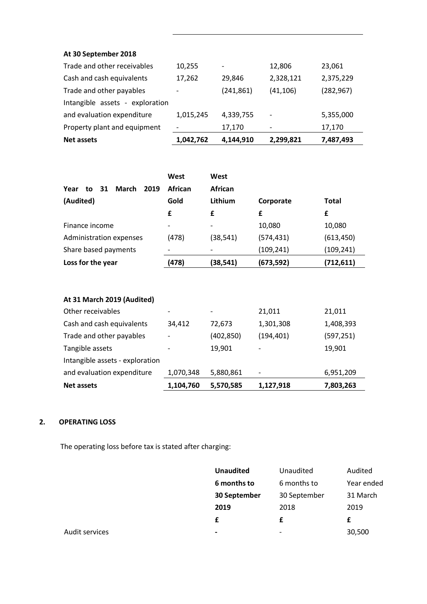# **At 30 September 2018**

| <b>Net assets</b>               | 1,042,762                | 4,144,910  | 2,299,821                | 7,487,493  |
|---------------------------------|--------------------------|------------|--------------------------|------------|
| Property plant and equipment    | $\overline{\phantom{a}}$ | 17,170     |                          | 17,170     |
| and evaluation expenditure      | 1,015,245                | 4,339,755  | $\overline{\phantom{a}}$ | 5,355,000  |
| Intangible assets - exploration |                          |            |                          |            |
| Trade and other payables        | $\overline{\phantom{a}}$ | (241, 861) | (41, 106)                | (282, 967) |
| Cash and cash equivalents       | 17,262                   | 29.846     | 2,328,121                | 2,375,229  |
| Trade and other receivables     | 10,255                   |            | 12,806                   | 23,061     |

|                                   | West                     | West                     |            |              |
|-----------------------------------|--------------------------|--------------------------|------------|--------------|
| March<br>2019<br>Year<br>31<br>to | <b>African</b>           | African                  |            |              |
| (Audited)                         | Gold                     | Lithium                  | Corporate  | <b>Total</b> |
|                                   | £                        | £                        | £          | £            |
| Finance income                    | $\overline{\phantom{a}}$ | $\overline{\phantom{0}}$ | 10,080     | 10,080       |
| Administration expenses           | (478)                    | (38, 541)                | (574, 431) | (613, 450)   |
| Share based payments              |                          |                          | (109, 241) | (109, 241)   |
| Loss for the year                 | (478)                    | (38,541)                 | (673, 592) | (712, 611)   |

| At 31 March 2019 (Audited)      |                              |            |            |            |
|---------------------------------|------------------------------|------------|------------|------------|
| Other receivables               | $\overline{\phantom{a}}$     | -          | 21,011     | 21,011     |
| Cash and cash equivalents       | 34,412                       | 72.673     | 1,301,308  | 1,408,393  |
| Trade and other payables        | $\overline{\phantom{a}}$     | (402, 850) | (194, 401) | (597, 251) |
| Tangible assets                 | $\qquad \qquad \blacksquare$ | 19,901     |            | 19,901     |
| Intangible assets - exploration |                              |            |            |            |
| and evaluation expenditure      | 1,070,348                    | 5,880,861  |            | 6,951,209  |
| <b>Net assets</b>               | 1,104,760                    | 5,570,585  | 1,127,918  | 7,803,263  |

# **2. OPERATING LOSS**

The operating loss before tax is stated after charging:

|                | <b>Unaudited</b>         | Unaudited                | Audited    |
|----------------|--------------------------|--------------------------|------------|
|                | 6 months to              | 6 months to              | Year ended |
|                | 30 September             | 30 September             | 31 March   |
|                | 2019                     | 2018                     | 2019       |
|                | £                        |                          |            |
| Audit services | $\overline{\phantom{0}}$ | $\overline{\phantom{a}}$ | 30,500     |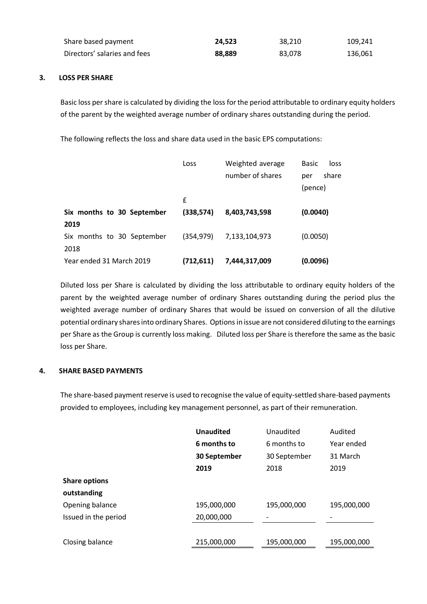| Share based payment          | 24.523 | 38.210 | 109,241 |
|------------------------------|--------|--------|---------|
| Directors' salaries and fees | 88.889 | 83,078 | 136,061 |

### **3. LOSS PER SHARE**

Basic loss per share is calculated by dividing the loss for the period attributable to ordinary equity holders of the parent by the weighted average number of ordinary shares outstanding during the period.

The following reflects the loss and share data used in the basic EPS computations:

|                            | Loss       | Weighted average<br>number of shares | <b>Basic</b><br>loss<br>share<br>per<br>(pence) |
|----------------------------|------------|--------------------------------------|-------------------------------------------------|
|                            | £          |                                      |                                                 |
| Six months to 30 September | (338, 574) | 8,403,743,598                        | (0.0040)                                        |
| 2019                       |            |                                      |                                                 |
| Six months to 30 September | (354, 979) | 7,133,104,973                        | (0.0050)                                        |
| 2018                       |            |                                      |                                                 |
| Year ended 31 March 2019   | (712,611)  | 7,444,317,009                        | (0.0096)                                        |

Diluted loss per Share is calculated by dividing the loss attributable to ordinary equity holders of the parent by the weighted average number of ordinary Shares outstanding during the period plus the weighted average number of ordinary Shares that would be issued on conversion of all the dilutive potential ordinary shares into ordinary Shares. Options in issue are not considered diluting to the earnings per Share as the Group is currently loss making. Diluted loss per Share is therefore the same as the basic loss per Share.

#### **4. SHARE BASED PAYMENTS**

The share-based payment reserve is used to recognise the value of equity-settled share-based payments provided to employees, including key management personnel, as part of their remuneration.

|                      | <b>Unaudited</b> | Unaudited    | Audited     |
|----------------------|------------------|--------------|-------------|
|                      | 6 months to      | 6 months to  | Year ended  |
|                      | 30 September     | 30 September | 31 March    |
|                      | 2019             | 2018         | 2019        |
| <b>Share options</b> |                  |              |             |
| outstanding          |                  |              |             |
| Opening balance      | 195,000,000      | 195,000,000  | 195,000,000 |
| Issued in the period | 20,000,000       |              |             |
|                      |                  |              |             |
| Closing balance      | 215,000,000      | 195,000,000  | 195,000,000 |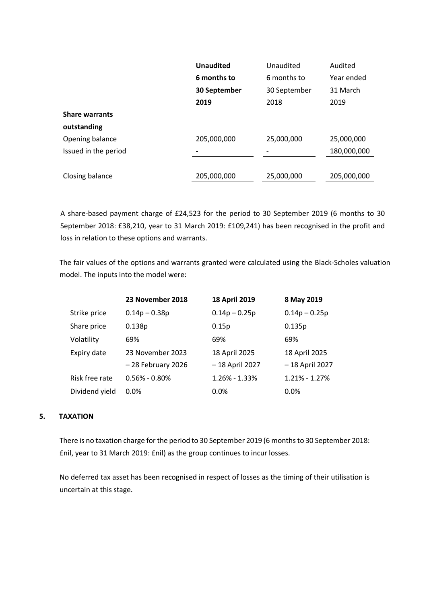|                       | <b>Unaudited</b> | Unaudited    | Audited     |
|-----------------------|------------------|--------------|-------------|
|                       | 6 months to      | 6 months to  | Year ended  |
|                       | 30 September     | 30 September | 31 March    |
|                       | 2019             | 2018         | 2019        |
| <b>Share warrants</b> |                  |              |             |
| outstanding           |                  |              |             |
| Opening balance       | 205,000,000      | 25,000,000   | 25,000,000  |
| Issued in the period  |                  |              | 180,000,000 |
|                       |                  |              |             |
| Closing balance       | 205,000,000      | 25,000,000   | 205,000,000 |
|                       |                  |              |             |

A share-based payment charge of £24,523 for the period to 30 September 2019 (6 months to 30 September 2018: £38,210, year to 31 March 2019: £109,241) has been recognised in the profit and loss in relation to these options and warrants.

The fair values of the options and warrants granted were calculated using the Black-Scholes valuation model. The inputs into the model were:

|                | 23 November 2018    | 18 April 2019     | 8 May 2019        |
|----------------|---------------------|-------------------|-------------------|
| Strike price   | $0.14p - 0.38p$     | $0.14p - 0.25p$   | $0.14p - 0.25p$   |
| Share price    | 0.138 <sub>p</sub>  | 0.15p             | 0.135p            |
| Volatility     | 69%                 | 69%               | 69%               |
| Expiry date    | 23 November 2023    | 18 April 2025     | 18 April 2025     |
|                | $-28$ February 2026 | -18 April 2027    | - 18 April 2027   |
| Risk free rate | $0.56\% - 0.80\%$   | $1.26\% - 1.33\%$ | $1.21\% - 1.27\%$ |
| Dividend yield | 0.0%                | 0.0%              | 0.0%              |

### **5. TAXATION**

There is no taxation charge for the period to 30 September 2019 (6 months to 30 September 2018: £nil, year to 31 March 2019: £nil) as the group continues to incur losses.

No deferred tax asset has been recognised in respect of losses as the timing of their utilisation is uncertain at this stage.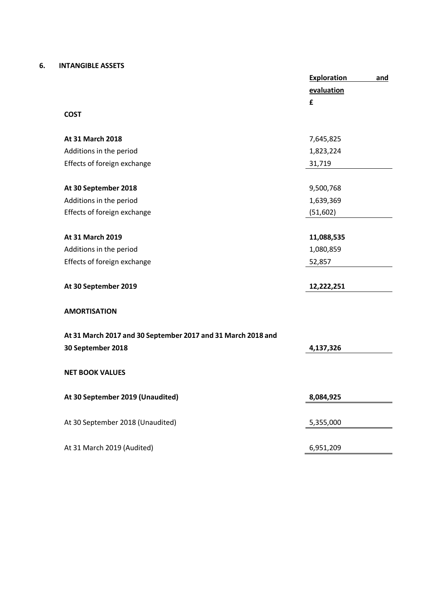#### **6. INTANGIBLE ASSETS**

|                                                              | <b>Exploration</b> | and |
|--------------------------------------------------------------|--------------------|-----|
|                                                              | evaluation         |     |
|                                                              | £                  |     |
| <b>COST</b>                                                  |                    |     |
|                                                              |                    |     |
| At 31 March 2018                                             | 7,645,825          |     |
| Additions in the period                                      | 1,823,224          |     |
| Effects of foreign exchange                                  | 31,719             |     |
|                                                              |                    |     |
| At 30 September 2018                                         | 9,500,768          |     |
| Additions in the period                                      | 1,639,369          |     |
| Effects of foreign exchange                                  | (51,602)           |     |
|                                                              |                    |     |
| At 31 March 2019                                             | 11,088,535         |     |
| Additions in the period                                      | 1,080,859          |     |
| Effects of foreign exchange                                  | 52,857             |     |
|                                                              |                    |     |
| At 30 September 2019                                         | 12,222,251         |     |
|                                                              |                    |     |
| <b>AMORTISATION</b>                                          |                    |     |
|                                                              |                    |     |
| At 31 March 2017 and 30 September 2017 and 31 March 2018 and |                    |     |
| 30 September 2018                                            | 4,137,326          |     |
|                                                              |                    |     |
| <b>NET BOOK VALUES</b>                                       |                    |     |
|                                                              |                    |     |
| At 30 September 2019 (Unaudited)                             | 8,084,925          |     |
|                                                              |                    |     |
| At 30 September 2018 (Unaudited)                             | 5,355,000          |     |
|                                                              |                    |     |
| At 31 March 2019 (Audited)                                   | 6,951,209          |     |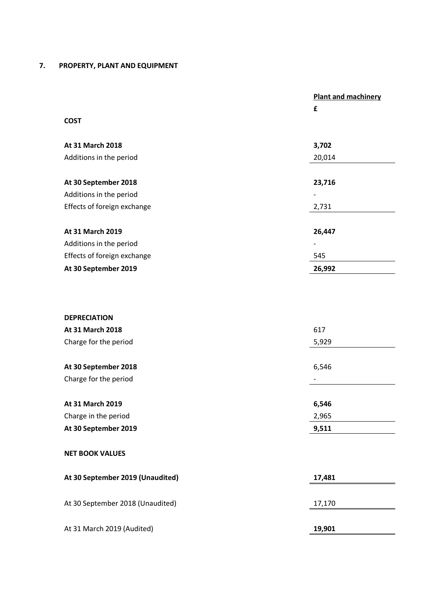## **7. PROPERTY, PLANT AND EQUIPMENT**

|                             | <b>Plant and machinery</b>   |
|-----------------------------|------------------------------|
|                             | £                            |
| <b>COST</b>                 |                              |
|                             |                              |
| At 31 March 2018            | 3,702                        |
| Additions in the period     | 20,014                       |
|                             |                              |
| At 30 September 2018        | 23,716                       |
| Additions in the period     | $\overline{a}$               |
| Effects of foreign exchange | 2,731                        |
|                             |                              |
| At 31 March 2019            | 26,447                       |
| Additions in the period     | $\qquad \qquad \blacksquare$ |
| Effects of foreign exchange | 545                          |
| At 30 September 2019        | 26,992                       |
|                             |                              |
|                             |                              |
|                             |                              |

| <b>DEPRECIATION</b>              |        |
|----------------------------------|--------|
| At 31 March 2018                 | 617    |
| Charge for the period            | 5,929  |
|                                  |        |
| At 30 September 2018             | 6,546  |
| Charge for the period            |        |
|                                  |        |
| At 31 March 2019                 | 6,546  |
| Charge in the period             | 2,965  |
| At 30 September 2019             | 9,511  |
| <b>NET BOOK VALUES</b>           |        |
| At 30 September 2019 (Unaudited) | 17,481 |
| At 30 September 2018 (Unaudited) | 17,170 |
| At 31 March 2019 (Audited)       | 19,901 |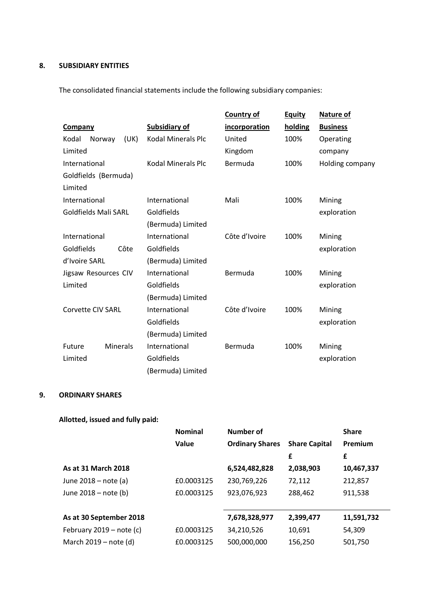## **8. SUBSIDIARY ENTITIES**

The consolidated financial statements include the following subsidiary companies:

|                             |        |                 |                           | <b>Country of</b>    | <b>Equity</b> | <b>Nature of</b> |
|-----------------------------|--------|-----------------|---------------------------|----------------------|---------------|------------------|
| Company                     |        |                 | <b>Subsidiary of</b>      | <i>incorporation</i> | holding       | <b>Business</b>  |
| Kodal                       | Norway | (UK)            | <b>Kodal Minerals Plc</b> | United               | 100%          | Operating        |
| Limited                     |        |                 |                           | Kingdom              |               | company          |
| International               |        |                 | <b>Kodal Minerals Plc</b> | Bermuda              | 100%          | Holding company  |
| Goldfields (Bermuda)        |        |                 |                           |                      |               |                  |
| Limited                     |        |                 |                           |                      |               |                  |
| International               |        |                 | International             | Mali                 | 100%          | Mining           |
| <b>Goldfields Mali SARL</b> |        |                 | Goldfields                |                      |               | exploration      |
|                             |        |                 | (Bermuda) Limited         |                      |               |                  |
| International               |        |                 | International             | Côte d'Ivoire        | 100%          | Mining           |
| Goldfields                  |        | Côte            | Goldfields                |                      |               | exploration      |
| d'Ivoire SARL               |        |                 | (Bermuda) Limited         |                      |               |                  |
| Jigsaw Resources CIV        |        |                 | International             | Bermuda              | 100%          | Mining           |
| Limited                     |        |                 | Goldfields                |                      |               | exploration      |
|                             |        |                 | (Bermuda) Limited         |                      |               |                  |
| <b>Corvette CIV SARL</b>    |        |                 | International             | Côte d'Ivoire        | 100%          | Mining           |
|                             |        |                 | Goldfields                |                      |               | exploration      |
|                             |        |                 | (Bermuda) Limited         |                      |               |                  |
| Future                      |        | <b>Minerals</b> | International             | Bermuda              | 100%          | Mining           |
| Limited                     |        |                 | Goldfields                |                      |               | exploration      |
|                             |        |                 | (Bermuda) Limited         |                      |               |                  |

### **9. ORDINARY SHARES**

# **Allotted, issued and fully paid:**

|                            | <b>Nominal</b> | <b>Number of</b>       |                      | <b>Share</b> |
|----------------------------|----------------|------------------------|----------------------|--------------|
|                            | Value          | <b>Ordinary Shares</b> | <b>Share Capital</b> | Premium      |
|                            |                |                        | £                    | £            |
| As at 31 March 2018        |                | 6,524,482,828          | 2,038,903            | 10,467,337   |
| June 2018 - note (a)       | £0.0003125     | 230,769,226            | 72,112               | 212,857      |
| June 2018 - note (b)       | £0.0003125     | 923,076,923            | 288,462              | 911,538      |
|                            |                |                        |                      |              |
| As at 30 September 2018    |                | 7,678,328,977          | 2,399,477            | 11,591,732   |
| February $2019$ – note (c) | £0.0003125     | 34,210,526             | 10,691               | 54,309       |
| March 2019 – note (d)      | £0.0003125     | 500,000,000            | 156.250              | 501,750      |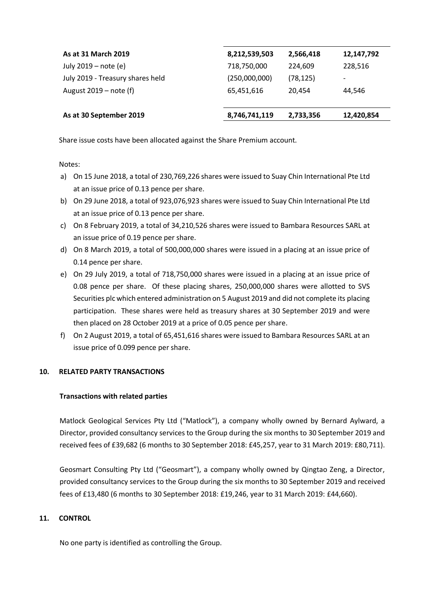| As at 31 March 2019              | 8,212,539,503 | 2,566,418 | 12,147,792               |
|----------------------------------|---------------|-----------|--------------------------|
| July 2019 – note (e)             | 718,750,000   | 224.609   | 228,516                  |
| July 2019 - Treasury shares held | (250,000,000) | (78, 125) | $\overline{\phantom{a}}$ |
| August $2019$ – note (f)         | 65,451,616    | 20.454    | 44.546                   |
|                                  |               |           |                          |
| As at 30 September 2019          | 8,746,741,119 | 2,733,356 | 12,420,854               |

Share issue costs have been allocated against the Share Premium account.

Notes:

- a) On 15 June 2018, a total of 230,769,226 shares were issued to Suay Chin International Pte Ltd at an issue price of 0.13 pence per share.
- b) On 29 June 2018, a total of 923,076,923 shares were issued to Suay Chin International Pte Ltd at an issue price of 0.13 pence per share.
- c) On 8 February 2019, a total of 34,210,526 shares were issued to Bambara Resources SARL at an issue price of 0.19 pence per share.
- d) On 8 March 2019, a total of 500,000,000 shares were issued in a placing at an issue price of 0.14 pence per share.
- e) On 29 July 2019, a total of 718,750,000 shares were issued in a placing at an issue price of 0.08 pence per share. Of these placing shares, 250,000,000 shares were allotted to SVS Securities plc which entered administration on 5 August 2019 and did not complete its placing participation. These shares were held as treasury shares at 30 September 2019 and were then placed on 28 October 2019 at a price of 0.05 pence per share.
- f) On 2 August 2019, a total of 65,451,616 shares were issued to Bambara Resources SARL at an issue price of 0.099 pence per share.

#### **10. RELATED PARTY TRANSACTIONS**

#### **Transactions with related parties**

Matlock Geological Services Pty Ltd ("Matlock"), a company wholly owned by Bernard Aylward, a Director, provided consultancy services to the Group during the six months to 30 September 2019 and received fees of £39,682 (6 months to 30 September 2018: £45,257, year to 31 March 2019: £80,711).

Geosmart Consulting Pty Ltd ("Geosmart"), a company wholly owned by Qingtao Zeng, a Director, provided consultancy services to the Group during the six months to 30 September 2019 and received fees of £13,480 (6 months to 30 September 2018: £19,246, year to 31 March 2019: £44,660).

#### **11. CONTROL**

No one party is identified as controlling the Group.